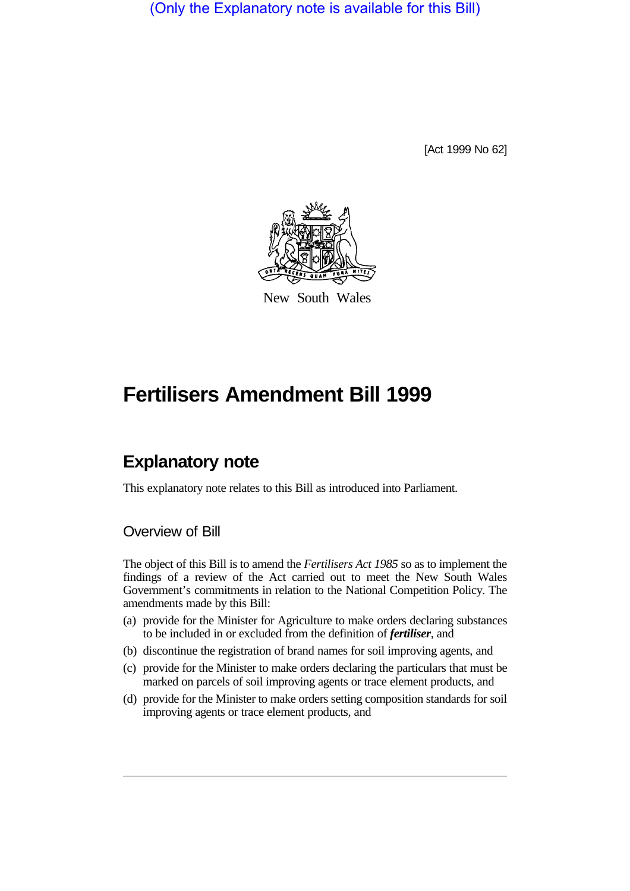(Only the Explanatory note is available for this Bill)

[Act 1999 No 62]



New South Wales

# **Fertilisers Amendment Bill 1999**

# **Explanatory note**

This explanatory note relates to this Bill as introduced into Parliament.

## Overview of Bill

The object of this Bill is to amend the *Fertilisers Act 1985* so as to implement the findings of a review of the Act carried out to meet the New South Wales Government's commitments in relation to the National Competition Policy. The amendments made by this Bill:

- (a) provide for the Minister for Agriculture to make orders declaring substances to be included in or excluded from the definition of *fertiliser*, and
- (b) discontinue the registration of brand names for soil improving agents, and
- (c) provide for the Minister to make orders declaring the particulars that must be marked on parcels of soil improving agents or trace element products, and
- (d) provide for the Minister to make orders setting composition standards for soil improving agents or trace element products, and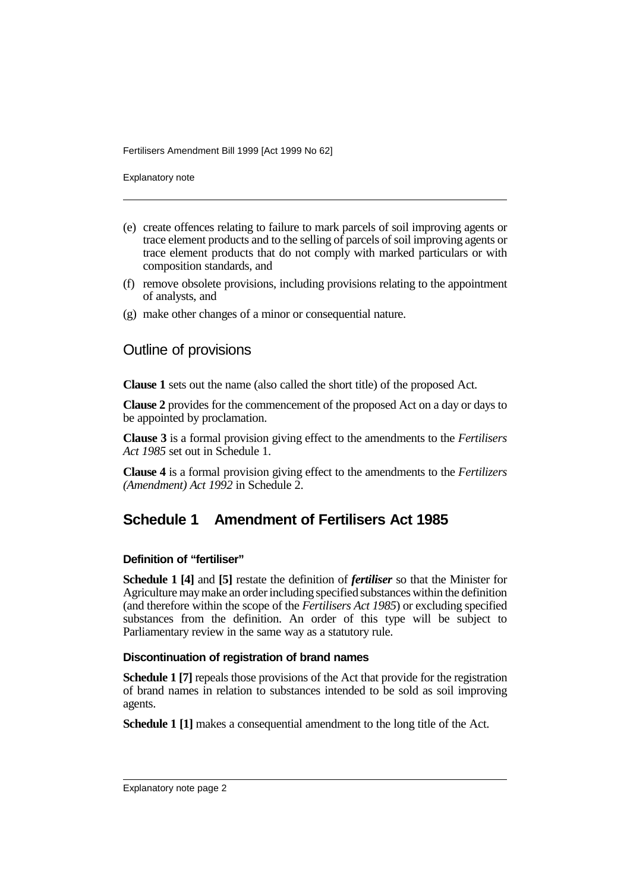Fertilisers Amendment Bill 1999 [Act 1999 No 62]

Explanatory note

- (e) create offences relating to failure to mark parcels of soil improving agents or trace element products and to the selling of parcels of soil improving agents or trace element products that do not comply with marked particulars or with composition standards, and
- (f) remove obsolete provisions, including provisions relating to the appointment of analysts, and
- (g) make other changes of a minor or consequential nature.

### Outline of provisions

**Clause 1** sets out the name (also called the short title) of the proposed Act.

**Clause 2** provides for the commencement of the proposed Act on a day or days to be appointed by proclamation.

**Clause 3** is a formal provision giving effect to the amendments to the *Fertilisers Act 1985* set out in Schedule 1.

**Clause 4** is a formal provision giving effect to the amendments to the *Fertilizers (Amendment) Act 1992* in Schedule 2.

# **Schedule 1 Amendment of Fertilisers Act 1985**

#### **Definition of "fertiliser"**

**Schedule 1 [4]** and **[5]** restate the definition of *fertiliser* so that the Minister for Agriculture may make an order including specified substances within the definition (and therefore within the scope of the *Fertilisers Act 1985*) or excluding specified substances from the definition. An order of this type will be subject to Parliamentary review in the same way as a statutory rule.

#### **Discontinuation of registration of brand names**

**Schedule 1 [7]** repeals those provisions of the Act that provide for the registration of brand names in relation to substances intended to be sold as soil improving agents.

**Schedule 1 [1]** makes a consequential amendment to the long title of the Act.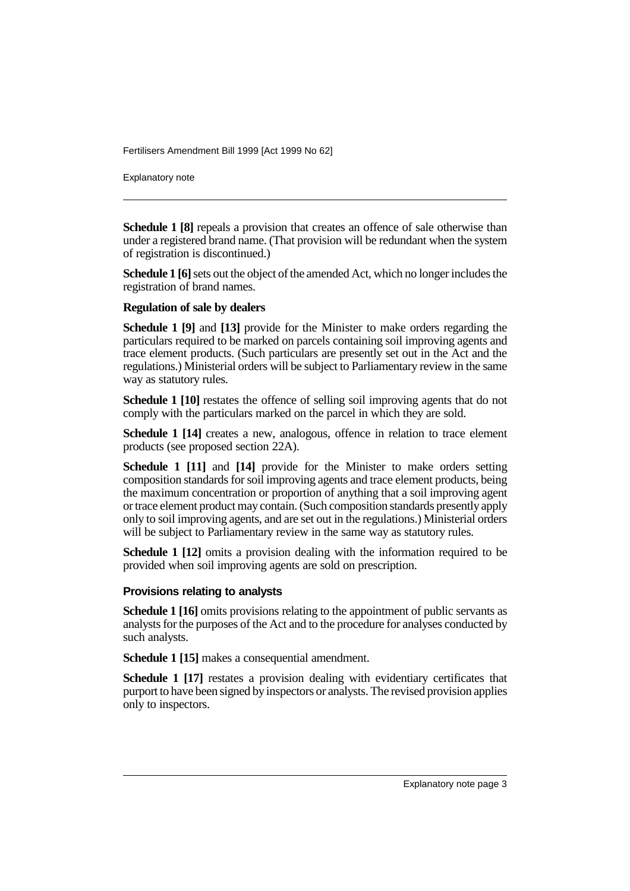Fertilisers Amendment Bill 1999 [Act 1999 No 62]

Explanatory note

**Schedule 1 [8]** repeals a provision that creates an offence of sale otherwise than under a registered brand name. (That provision will be redundant when the system of registration is discontinued.)

**Schedule 1 [6]** sets out the object of the amended Act, which no longer includes the registration of brand names.

#### **Regulation of sale by dealers**

**Schedule 1 [9]** and **[13]** provide for the Minister to make orders regarding the particulars required to be marked on parcels containing soil improving agents and trace element products. (Such particulars are presently set out in the Act and the regulations.) Ministerial orders will be subject to Parliamentary review in the same way as statutory rules.

**Schedule 1 [10]** restates the offence of selling soil improving agents that do not comply with the particulars marked on the parcel in which they are sold.

**Schedule 1 [14]** creates a new, analogous, offence in relation to trace element products (see proposed section 22A).

**Schedule 1 [11]** and **[14]** provide for the Minister to make orders setting composition standards for soil improving agents and trace element products, being the maximum concentration or proportion of anything that a soil improving agent or trace element product may contain. (Such composition standards presently apply only to soil improving agents, and are set out in the regulations.) Ministerial orders will be subject to Parliamentary review in the same way as statutory rules.

**Schedule 1 [12]** omits a provision dealing with the information required to be provided when soil improving agents are sold on prescription.

#### **Provisions relating to analysts**

**Schedule 1 [16]** omits provisions relating to the appointment of public servants as analysts for the purposes of the Act and to the procedure for analyses conducted by such analysts.

**Schedule 1 [15]** makes a consequential amendment.

**Schedule 1 [17]** restates a provision dealing with evidentiary certificates that purport to have been signed by inspectors or analysts. The revised provision applies only to inspectors.